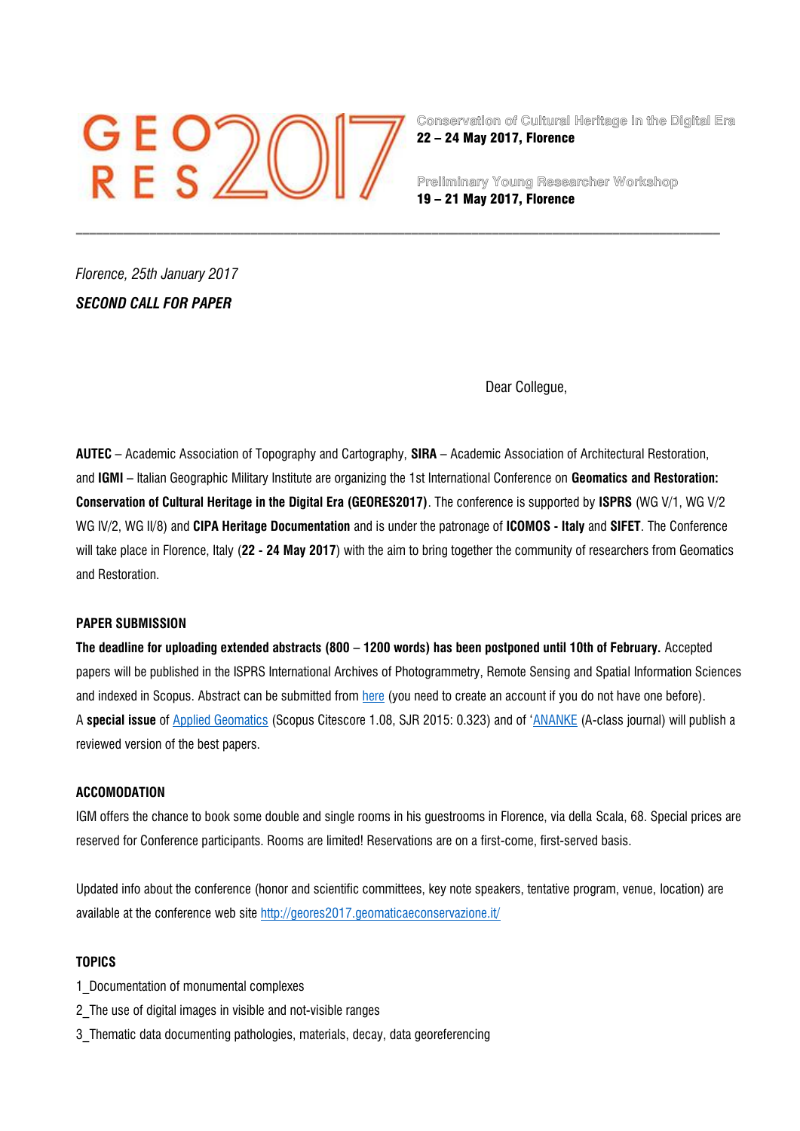# $GEO2C$

**Conservation of Cultural Heritage in the Digital Era** 22 – 24 May 2017, Florence

**Preliminary Young Researcher Workshop** 19 – 21 May 2017, Florence

*Florence, 25th January 2017 SECOND CALL FOR PAPER* 

Dear Collegue,

**AUTEC** – Academic Association of Topography and Cartography, **SIRA** – Academic Association of Architectural Restoration, and **IGMI** – Italian Geographic Military Institute are organizing the 1st International Conference on **Geomatics and Restoration: Conservation of Cultural Heritage in the Digital Era (GEORES2017)**. The conference is supported by **ISPRS** (WG V/1, WG V/2 WG IV/2, WG II/8) and **CIPA Heritage Documentation** and is under the patronage of **ICOMOS - Italy** and **SIFET**. The Conference will take place in Florence, Italy (**22 - 24 May 2017**) with the aim to bring together the community of researchers from Geomatics and Restoration.

\_\_\_\_\_\_\_\_\_\_\_\_\_\_\_\_\_\_\_\_\_\_\_\_\_\_\_\_\_\_\_\_\_\_\_\_\_\_\_\_\_\_\_\_\_\_\_\_\_\_\_\_\_\_\_\_\_\_\_\_\_\_\_\_\_\_\_\_\_\_\_\_\_\_\_\_\_\_\_\_\_\_\_\_\_\_\_\_\_\_\_\_\_\_\_\_

## **PAPER SUBMISSION**

**The deadline for uploading extended abstracts (800 – 1200 words) has been postponed until 10th of February.** Accepted papers will be published in the ISPRS International Archives of Photogrammetry, Remote Sensing and Spatial Information Sciences and indexed in Scopus. Abstract can be submitted from [here](https://services.aimgroup.it/ASPClient/loginindividual.asp?eventoid=3505) (you need to create an account if you do not have one before). A **special issue** of [Applied Geomatics](http://link.springer.com/journal/) (Scopus Citescore 1.08, SJR 2015: 0.323) and of '[ANANKE](http://www.anankerivista.it/) (A-class journal) will publish a reviewed version of the best papers.

### **ACCOMODATION**

IGM offers the chance to book some double and single rooms in his guestrooms in Florence, via della Scala, 68. Special prices are reserved for Conference participants. Rooms are limited! Reservations are on a first-come, first-served basis.

Updated info about the conference (honor and scientific committees, key note speakers, tentative program, venue, location) are available at the conference web site <http://geores2017.geomaticaeconservazione.it/>

## **TOPICS**

- 1\_Documentation of monumental complexes
- 2\_The use of digital images in visible and not-visible ranges
- 3\_Thematic data documenting pathologies, materials, decay, data georeferencing